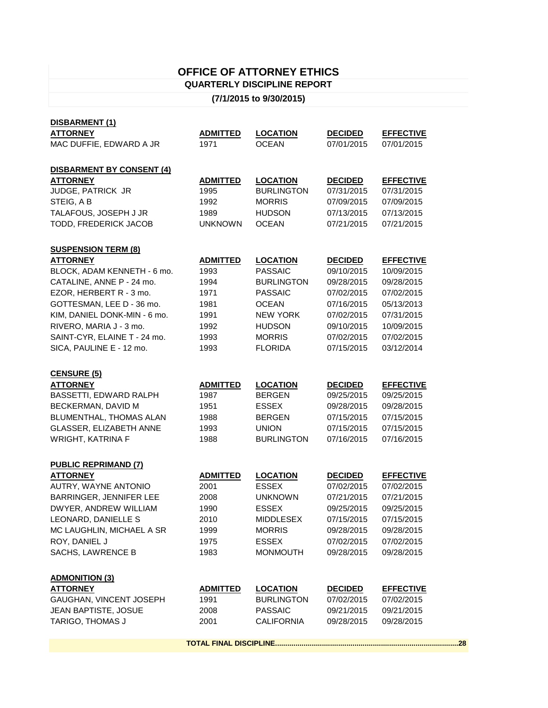## **OFFICE OF ATTORNEY ETHICS QUARTERLY DISCIPLINE REPORT**

## **(7/1/2015 to 9/30/2015)**

| DISBARMENT (1)                   |                 |                   |                |                  |
|----------------------------------|-----------------|-------------------|----------------|------------------|
| <b>ATTORNEY</b>                  | <b>ADMITTED</b> | <b>LOCATION</b>   | <b>DECIDED</b> | <u>EFFECTIVE</u> |
| MAC DUFFIE, EDWARD A JR          | 1971            | <b>OCEAN</b>      | 07/01/2015     | 07/01/2015       |
|                                  |                 |                   |                |                  |
| <b>DISBARMENT BY CONSENT (4)</b> |                 |                   |                |                  |
| <b>ATTORNEY</b>                  | <b>ADMITTED</b> | <b>LOCATION</b>   | <b>DECIDED</b> | <b>EFFECTIVE</b> |
| JUDGE, PATRICK JR                | 1995            | <b>BURLINGTON</b> | 07/31/2015     | 07/31/2015       |
| STEIG, A B                       | 1992            | <b>MORRIS</b>     | 07/09/2015     | 07/09/2015       |
| TALAFOUS, JOSEPH J JR            | 1989            | <b>HUDSON</b>     | 07/13/2015     | 07/13/2015       |
| TODD, FREDERICK JACOB            | <b>UNKNOWN</b>  | <b>OCEAN</b>      | 07/21/2015     | 07/21/2015       |
|                                  |                 |                   |                |                  |
| <b>SUSPENSION TERM (8)</b>       |                 |                   |                |                  |
| <b>ATTORNEY</b>                  | <b>ADMITTED</b> | <b>LOCATION</b>   | <b>DECIDED</b> | <b>EFFECTIVE</b> |
| BLOCK, ADAM KENNETH - 6 mo.      | 1993            | <b>PASSAIC</b>    | 09/10/2015     | 10/09/2015       |
| CATALINE, ANNE P - 24 mo.        | 1994            | <b>BURLINGTON</b> | 09/28/2015     | 09/28/2015       |
| EZOR, HERBERT R - 3 mo.          | 1971            | <b>PASSAIC</b>    | 07/02/2015     | 07/02/2015       |
| GOTTESMAN, LEE D - 36 mo.        | 1981            | <b>OCEAN</b>      | 07/16/2015     | 05/13/2013       |
| KIM, DANIEL DONK-MIN - 6 mo.     | 1991            | <b>NEW YORK</b>   | 07/02/2015     | 07/31/2015       |
| RIVERO, MARIA J - 3 mo.          | 1992            | <b>HUDSON</b>     | 09/10/2015     | 10/09/2015       |
| SAINT-CYR, ELAINE T - 24 mo.     | 1993            | <b>MORRIS</b>     | 07/02/2015     | 07/02/2015       |
| SICA, PAULINE E - 12 mo.         | 1993            | <b>FLORIDA</b>    | 07/15/2015     | 03/12/2014       |
|                                  |                 |                   |                |                  |
|                                  |                 |                   |                |                  |
| <b>CENSURE (5)</b>               |                 |                   |                |                  |
|                                  |                 |                   |                |                  |
| <b>ATTORNEY</b>                  | <b>ADMITTED</b> | <b>LOCATION</b>   | <b>DECIDED</b> | <b>EFFECTIVE</b> |
| BASSETTI, EDWARD RALPH           | 1987            | <b>BERGEN</b>     | 09/25/2015     | 09/25/2015       |
| BECKERMAN, DAVID M               | 1951            | <b>ESSEX</b>      | 09/28/2015     | 09/28/2015       |
| BLUMENTHAL, THOMAS ALAN          | 1988            | <b>BERGEN</b>     | 07/15/2015     | 07/15/2015       |
| GLASSER, ELIZABETH ANNE          | 1993            | <b>UNION</b>      | 07/15/2015     | 07/15/2015       |
| WRIGHT, KATRINA F                | 1988            | <b>BURLINGTON</b> | 07/16/2015     | 07/16/2015       |
|                                  |                 |                   |                |                  |
| <b>PUBLIC REPRIMAND (7)</b>      |                 |                   |                |                  |
| <b>ATTORNEY</b>                  | <b>ADMITTED</b> | <b>LOCATION</b>   | <b>DECIDED</b> | <b>EFFECTIVE</b> |
| AUTRY, WAYNE ANTONIO             | 2001            | <b>ESSEX</b>      | 07/02/2015     | 07/02/2015       |
| BARRINGER, JENNIFER LEE          | 2008            | <b>UNKNOWN</b>    | 07/21/2015     | 07/21/2015       |
| DWYER, ANDREW WILLIAM            | 1990            | <b>ESSEX</b>      | 09/25/2015     | 09/25/2015       |
| LEONARD, DANIELLE S              | 2010            | <b>MIDDLESEX</b>  | 07/15/2015     | 07/15/2015       |
| MC LAUGHLIN, MICHAEL A SR        | 1999            | <b>MORRIS</b>     | 09/28/2015     | 09/28/2015       |
| ROY, DANIEL J                    | 1975            | <b>ESSEX</b>      | 07/02/2015     | 07/02/2015       |
| SACHS, LAWRENCE B                | 1983            | <b>MONMOUTH</b>   | 09/28/2015     | 09/28/2015       |
|                                  |                 |                   |                |                  |
| <b>ADMONITION (3)</b>            |                 |                   |                |                  |
| <b>ATTORNEY</b>                  | <b>ADMITTED</b> | <b>LOCATION</b>   | <b>DECIDED</b> | <b>EFFECTIVE</b> |
| GAUGHAN, VINCENT JOSEPH          | 1991            | <b>BURLINGTON</b> | 07/02/2015     | 07/02/2015       |
| JEAN BAPTISTE, JOSUE             | 2008            | <b>PASSAIC</b>    | 09/21/2015     | 09/21/2015       |
| TARIGO, THOMAS J                 | 2001            | <b>CALIFORNIA</b> | 09/28/2015     | 09/28/2015       |

**TOTAL FINAL DISCIPLINE..........................................................................................28**